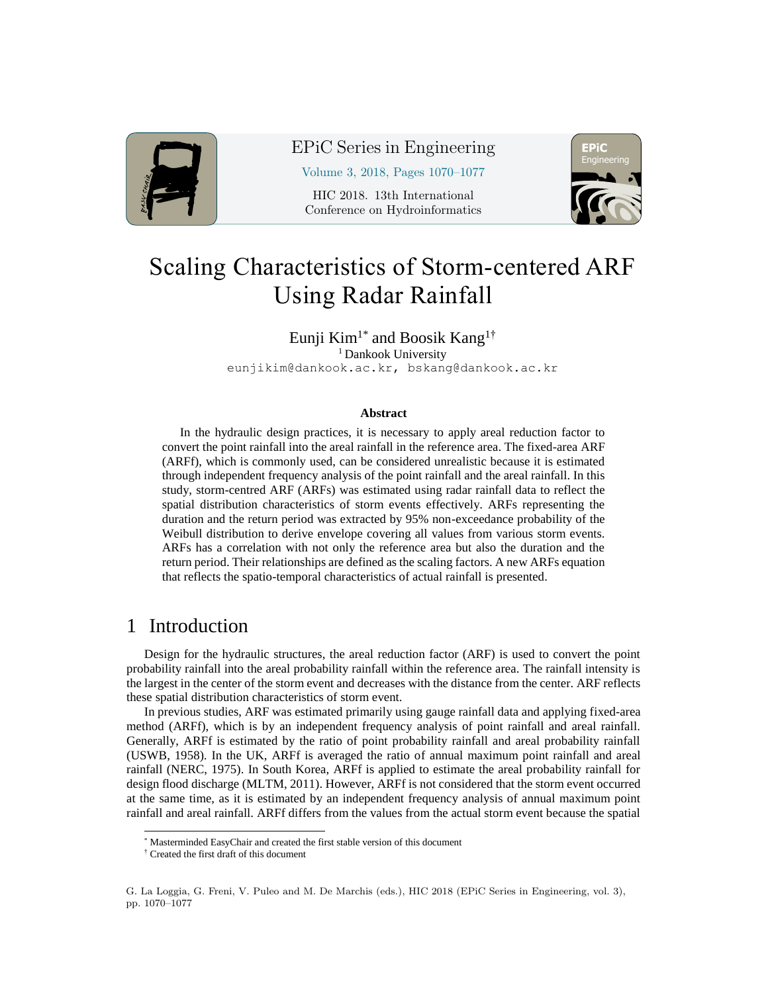

### EPiC Series in Engineering

Volume 3, 2018, Pages 1070–1077

HIC 2018. 13th International Conference on Hydroinformatics



# Scaling Characteristics of Storm-centered ARF Using Radar Rainfall

Eunji Kim<sup>1\*</sup> and Boosik Kang<sup>1†</sup> <sup>1</sup> Dankook University

eunjikim@dankook.ac.kr, bskang@dankook.ac.kr

#### **Abstract**

In the hydraulic design practices, it is necessary to apply areal reduction factor to convert the point rainfall into the areal rainfall in the reference area. The fixed-area ARF (ARFf), which is commonly used, can be considered unrealistic because it is estimated through independent frequency analysis of the point rainfall and the areal rainfall. In this study, storm-centred ARF (ARFs) was estimated using radar rainfall data to reflect the spatial distribution characteristics of storm events effectively. ARFs representing the duration and the return period was extracted by 95% non-exceedance probability of the Weibull distribution to derive envelope covering all values from various storm events. ARFs has a correlation with not only the reference area but also the duration and the return period. Their relationships are defined as the scaling factors. A new ARFs equation that reflects the spatio-temporal characteristics of actual rainfall is presented.

## 1 Introduction

l

Design for the hydraulic structures, the areal reduction factor (ARF) is used to convert the point probability rainfall into the areal probability rainfall within the reference area. The rainfall intensity is the largest in the center of the storm event and decreases with the distance from the center. ARF reflects these spatial distribution characteristics of storm event.

In previous studies, ARF was estimated primarily using gauge rainfall data and applying fixed-area method (ARFf), which is by an independent frequency analysis of point rainfall and areal rainfall. Generally, ARFf is estimated by the ratio of point probability rainfall and areal probability rainfall (USWB, 1958). In the UK, ARFf is averaged the ratio of annual maximum point rainfall and areal rainfall (NERC, 1975). In South Korea, ARFf is applied to estimate the areal probability rainfall for design flood discharge (MLTM, 2011). However, ARFf is not considered that the storm event occurred at the same time, as it is estimated by an independent frequency analysis of annual maximum point rainfall and areal rainfall. ARFf differs from the values from the actual storm event because the spatial

<sup>\*</sup> Masterminded EasyChair and created the first stable version of this document

<sup>†</sup> Created the first draft of this document

G. La Loggia, G. Freni, V. Puleo and M. De Marchis (eds.), HIC 2018 (EPiC Series in Engineering, vol. 3), pp. 1070–1077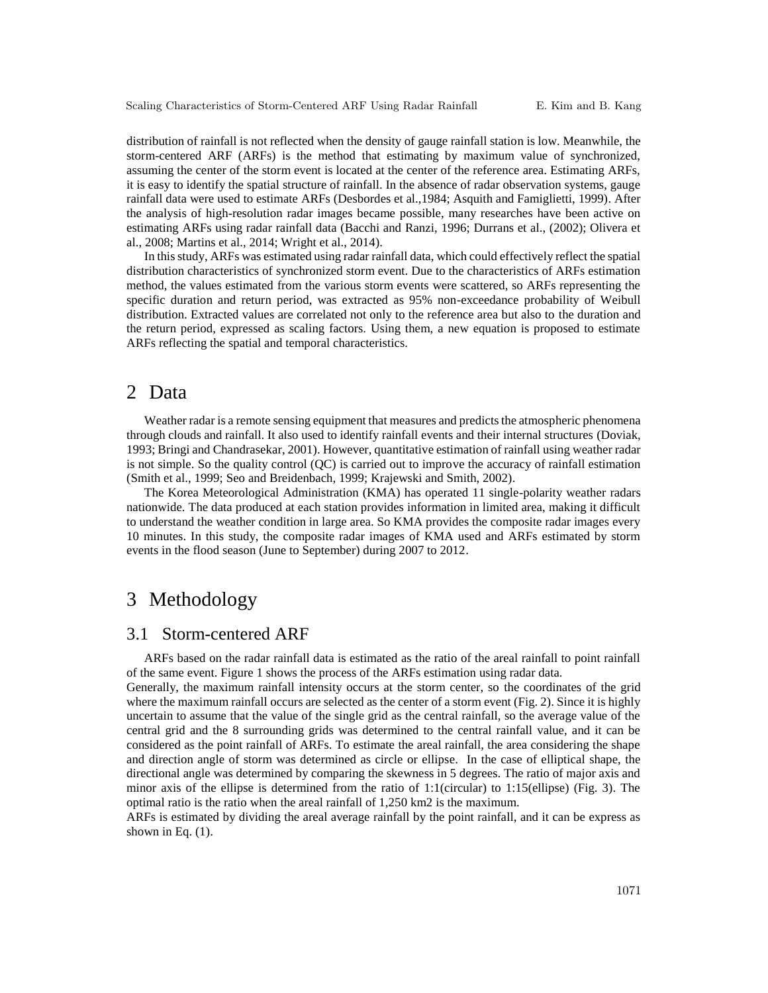distribution of rainfall is not reflected when the density of gauge rainfall station is low. Meanwhile, the storm-centered ARF (ARFs) is the method that estimating by maximum value of synchronized, assuming the center of the storm event is located at the center of the reference area. Estimating ARFs, it is easy to identify the spatial structure of rainfall. In the absence of radar observation systems, gauge rainfall data were used to estimate ARFs (Desbordes et al.,1984; Asquith and Famiglietti, 1999). After the analysis of high-resolution radar images became possible, many researches have been active on estimating ARFs using radar rainfall data (Bacchi and Ranzi, 1996; Durrans et al., (2002); Olivera et al., 2008; Martins et al., 2014; Wright et al., 2014).

In this study, ARFs was estimated using radar rainfall data, which could effectively reflect the spatial distribution characteristics of synchronized storm event. Due to the characteristics of ARFs estimation method, the values estimated from the various storm events were scattered, so ARFs representing the specific duration and return period, was extracted as 95% non-exceedance probability of Weibull distribution. Extracted values are correlated not only to the reference area but also to the duration and the return period, expressed as scaling factors. Using them, a new equation is proposed to estimate ARFs reflecting the spatial and temporal characteristics.

#### 2 Data

Weather radar is a remote sensing equipment that measures and predicts the atmospheric phenomena through clouds and rainfall. It also used to identify rainfall events and their internal structures (Doviak, 1993; Bringi and Chandrasekar, 2001). However, quantitative estimation of rainfall using weather radar is not simple. So the quality control (QC) is carried out to improve the accuracy of rainfall estimation (Smith et al., 1999; Seo and Breidenbach, 1999; Krajewski and Smith, 2002).

The Korea Meteorological Administration (KMA) has operated 11 single-polarity weather radars nationwide. The data produced at each station provides information in limited area, making it difficult to understand the weather condition in large area. So KMA provides the composite radar images every 10 minutes. In this study, the composite radar images of KMA used and ARFs estimated by storm events in the flood season (June to September) during 2007 to 2012.

## 3 Methodology

#### 3.1 Storm-centered ARF

ARFs based on the radar rainfall data is estimated as the ratio of the areal rainfall to point rainfall of the same event. Figure 1 shows the process of the ARFs estimation using radar data.

Generally, the maximum rainfall intensity occurs at the storm center, so the coordinates of the grid where the maximum rainfall occurs are selected as the center of a storm event (Fig. 2). Since it is highly uncertain to assume that the value of the single grid as the central rainfall, so the average value of the central grid and the 8 surrounding grids was determined to the central rainfall value, and it can be considered as the point rainfall of ARFs. To estimate the areal rainfall, the area considering the shape and direction angle of storm was determined as circle or ellipse. In the case of elliptical shape, the directional angle was determined by comparing the skewness in 5 degrees. The ratio of major axis and minor axis of the ellipse is determined from the ratio of 1:1(circular) to 1:15(ellipse) (Fig. 3). The optimal ratio is the ratio when the areal rainfall of 1,250 km2 is the maximum.

ARFs is estimated by dividing the areal average rainfall by the point rainfall, and it can be express as shown in Eq.  $(1)$ .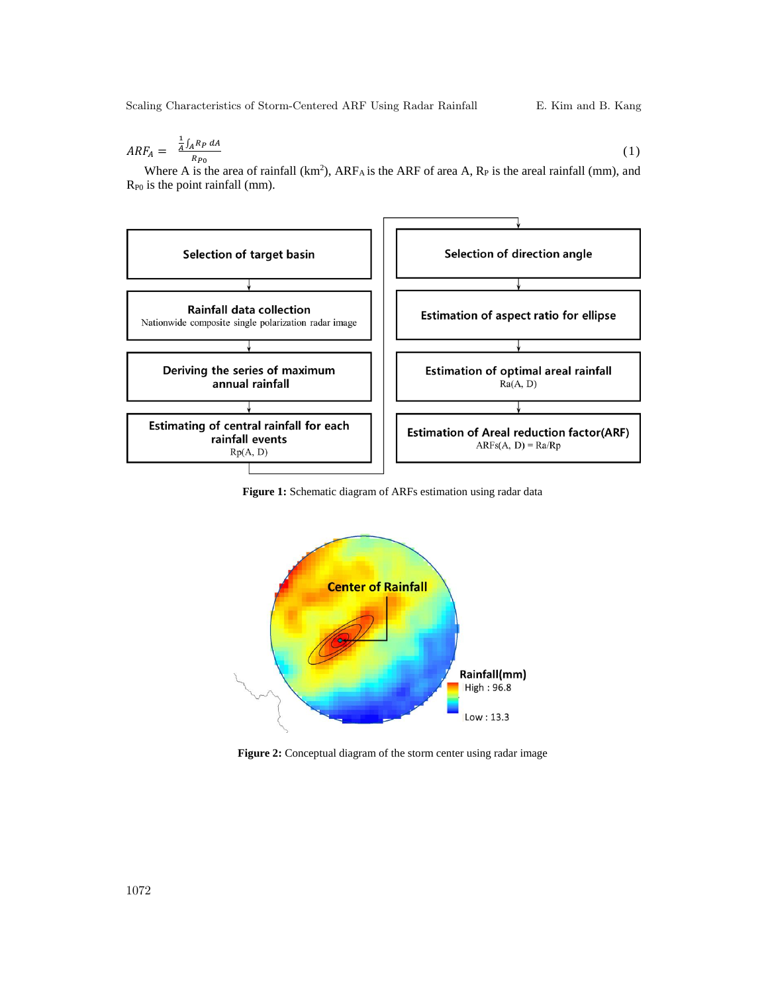Scaling Characteristics of Storm-Centered ARF Using Radar Rainfall E. Kim and B. Kang

$$
ARF_A = \frac{\frac{1}{A} \int_A R_P dA}{R_{P0}} \tag{1}
$$

Where A is the area of rainfall (km<sup>2</sup>), ARF<sub>A</sub> is the ARF of area A, R<sub>P</sub> is the areal rainfall (mm), and RP0 is the point rainfall (mm).



**Figure 1:** Schematic diagram of ARFs estimation using radar data



Figure 2: Conceptual diagram of the storm center using radar image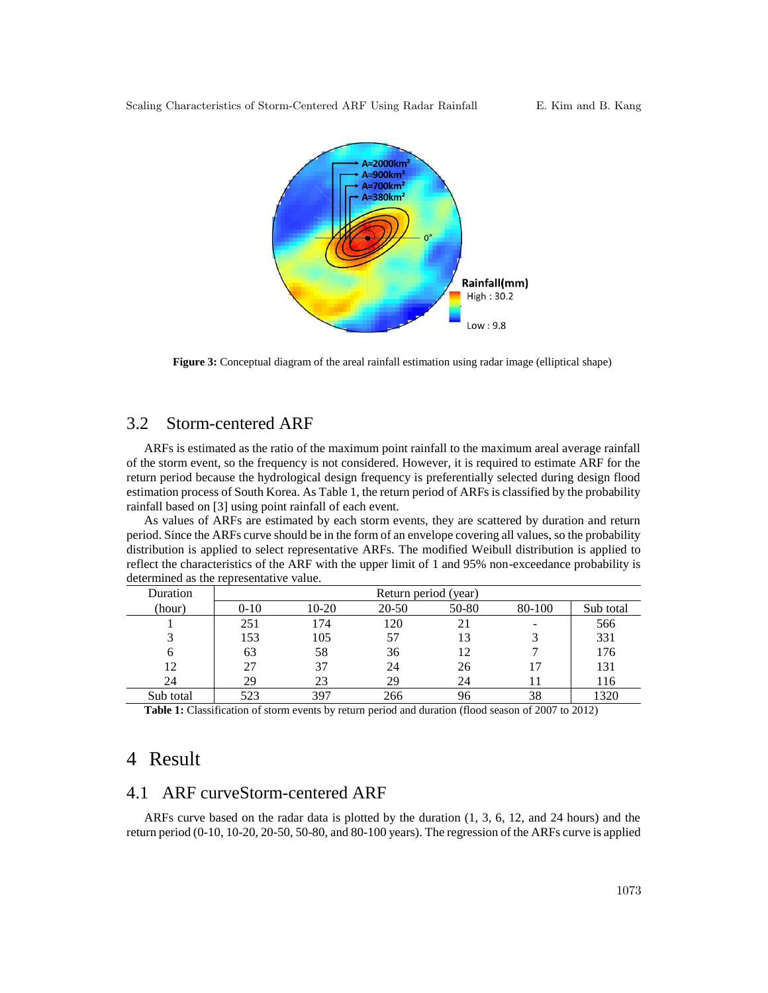

**Figure 3:** Conceptual diagram of the areal rainfall estimation using radar image (elliptical shape)

#### 3.2 Storm-centered ARF

ARFs is estimated as the ratio of the maximum point rainfall to the maximum areal average rainfall of the storm event, so the frequency is not considered. However, it is required to estimate ARF for the return period because the hydrological design frequency is preferentially selected during design flood estimation process of South Korea. As Table 1, the return period of ARFs is classified by the probability rainfall based on [3] using point rainfall of each event.

As values of ARFs are estimated by each storm events, they are scattered by duration and return period. Since the ARFs curve should be in the form of an envelope covering all values, so the probability distribution is applied to select representative ARFs. The modified Weibull distribution is applied to reflect the characteristics of the ARF with the upper limit of 1 and 95% non-exceedance probability is determined as the representative value.

| Duration  | Return period (year) |         |       |       |        |           |
|-----------|----------------------|---------|-------|-------|--------|-----------|
| (hour)    | $0 - 10$             | $10-20$ | 20-50 | 50-80 | 80-100 | Sub total |
|           | 251                  | 174     | 120   | 21    | -      | 566       |
| 3         | 153                  | 105     | 57    | 13    |        | 331       |
| 6         | 63                   | 58      | 36    | 12    |        | 176       |
| 12        | 27                   | 37      | 24    | 26    | 17     | 131       |
| 24        | 29                   | 23      | 29    | 24    |        | 116       |
| Sub total | 523                  | 397     | 266   | 96    | 38     | 320       |

**Table 1:** Classification of storm events by return period and duration (flood season of 2007 to 2012)

#### 4 Result

#### 4.1 ARF curveStorm-centered ARF

ARFs curve based on the radar data is plotted by the duration (1, 3, 6, 12, and 24 hours) and the return period (0-10, 10-20, 20-50, 50-80, and 80-100 years). The regression of the ARFs curve is applied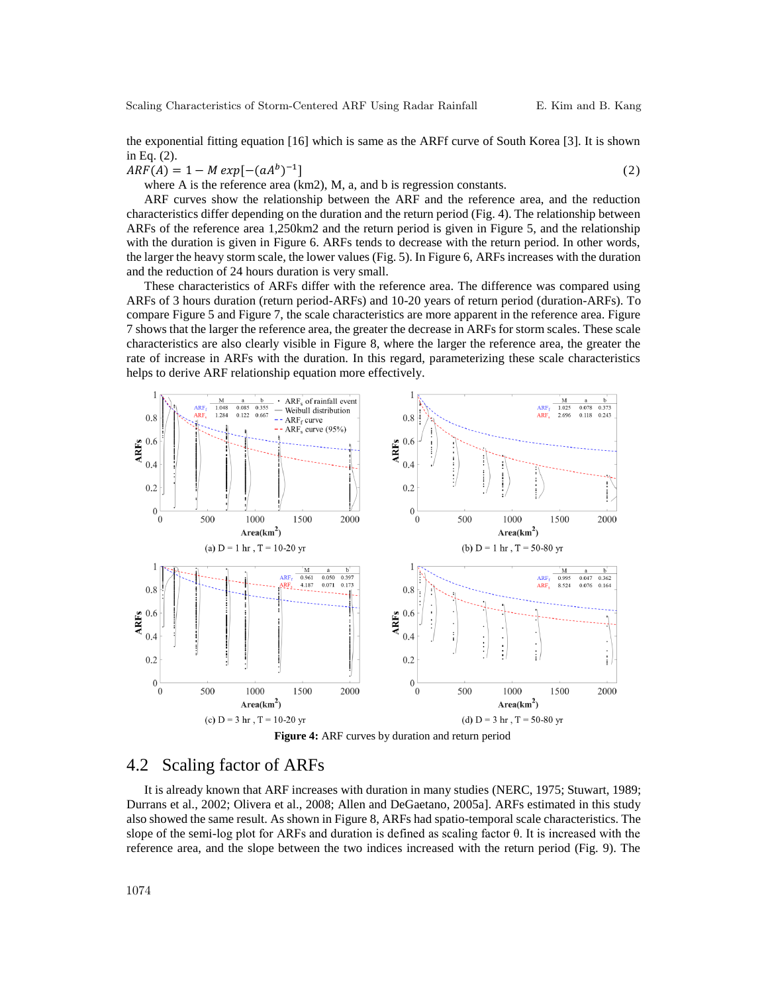the exponential fitting equation [16] which is same as the ARFf curve of South Korea [3]. It is shown in Eq. (2).

 $ARF(A) = 1 - M exp[-(aA<sup>b</sup>)^{-1}]$  $\begin{pmatrix} 2 \end{pmatrix}$ 

where A is the reference area (km2), M, a, and b is regression constants.

ARF curves show the relationship between the ARF and the reference area, and the reduction characteristics differ depending on the duration and the return period (Fig. 4). The relationship between ARFs of the reference area 1,250km2 and the return period is given in Figure 5, and the relationship with the duration is given in Figure 6. ARFs tends to decrease with the return period. In other words, the larger the heavy storm scale, the lower values (Fig. 5). In Figure 6, ARFs increases with the duration and the reduction of 24 hours duration is very small.

These characteristics of ARFs differ with the reference area. The difference was compared using ARFs of 3 hours duration (return period-ARFs) and 10-20 years of return period (duration-ARFs). To compare Figure 5 and Figure 7, the scale characteristics are more apparent in the reference area. Figure 7 shows that the larger the reference area, the greater the decrease in ARFs for storm scales. These scale characteristics are also clearly visible in Figure 8, where the larger the reference area, the greater the rate of increase in ARFs with the duration. In this regard, parameterizing these scale characteristics helps to derive ARF relationship equation more effectively.





#### 4.2 Scaling factor of ARFs

It is already known that ARF increases with duration in many studies (NERC, 1975; Stuwart, 1989; Durrans et al., 2002; Olivera et al., 2008; Allen and DeGaetano, 2005a]. ARFs estimated in this study also showed the same result. As shown in Figure 8, ARFs had spatio-temporal scale characteristics. The slope of the semi-log plot for ARFs and duration is defined as scaling factor θ. It is increased with the reference area, and the slope between the two indices increased with the return period (Fig. 9). The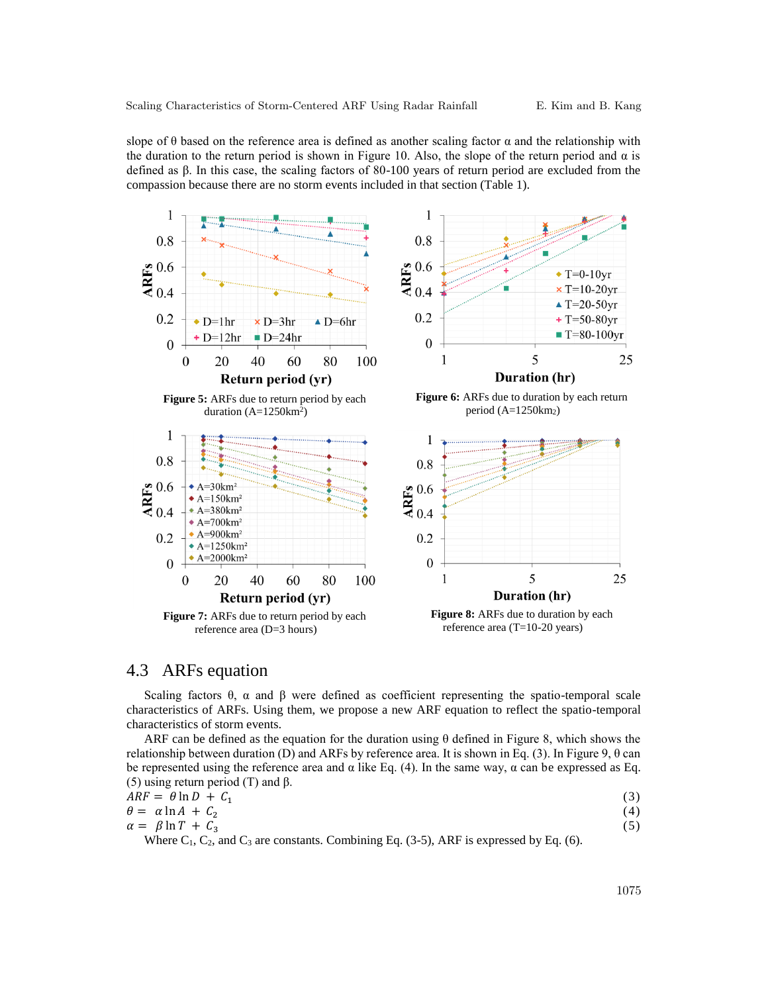slope of  $\theta$  based on the reference area is defined as another scaling factor  $\alpha$  and the relationship with the duration to the return period is shown in Figure 10. Also, the slope of the return period and  $\alpha$  is defined as β. In this case, the scaling factors of 80-100 years of return period are excluded from the compassion because there are no storm events included in that section (Table 1).



## 4.3 ARFs equation

Scaling factors  $\theta$ ,  $\alpha$  and  $\beta$  were defined as coefficient representing the spatio-temporal scale characteristics of ARFs. Using them, we propose a new ARF equation to reflect the spatio-temporal characteristics of storm events.

ARF can be defined as the equation for the duration using  $\theta$  defined in Figure 8, which shows the relationship between duration (D) and ARFs by reference area. It is shown in Eq. (3). In Figure 9,  $\theta$  can be represented using the reference area and  $\alpha$  like Eq. (4). In the same way,  $\alpha$  can be expressed as Eq. (5) using return period (T) and β.

$$
ARF = \theta \ln D + C_1 \tag{3}
$$

$$
\theta = \alpha \ln A + C_2
$$
  
\n
$$
\alpha = \beta \ln T + C_3
$$
\n(4)

Where  $C_1$ ,  $C_2$ , and  $C_3$  are constants. Combining Eq. (3-5), ARF is expressed by Eq. (6).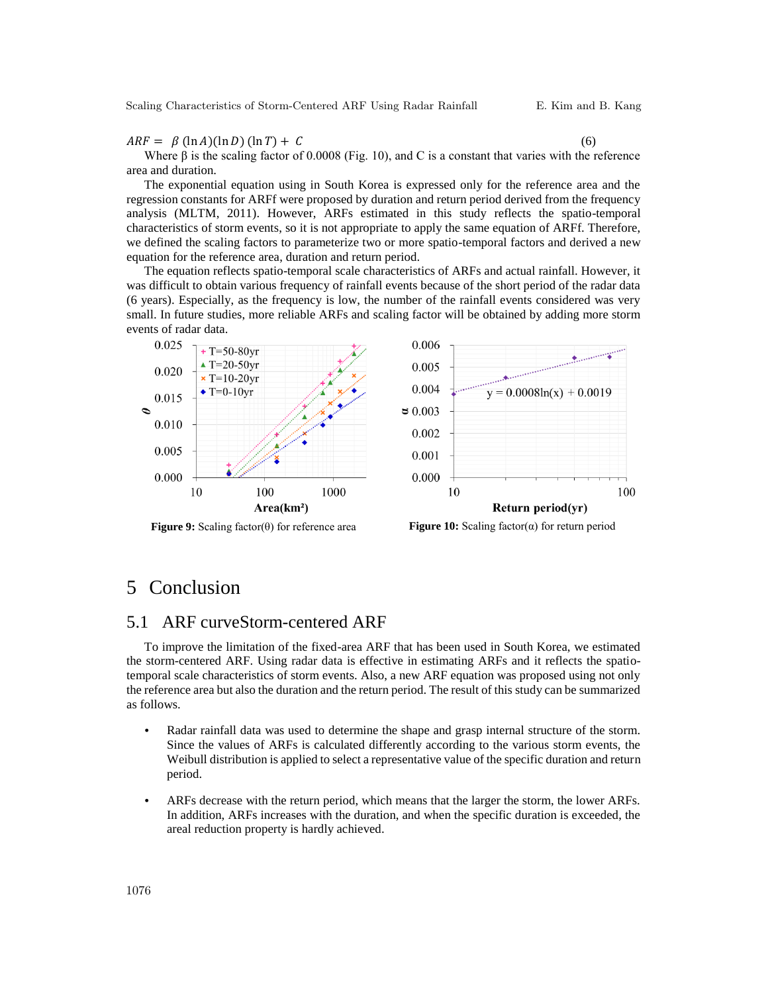Scaling Characteristics of Storm-Centered ARF Using Radar Rainfall E. Kim and B. Kang

 $ARF = \beta (\ln A)(\ln D)(\ln T) + C$  (6)

Where  $\beta$  is the scaling factor of 0.0008 (Fig. 10), and C is a constant that varies with the reference area and duration.

The exponential equation using in South Korea is expressed only for the reference area and the regression constants for ARFf were proposed by duration and return period derived from the frequency analysis (MLTM, 2011). However, ARFs estimated in this study reflects the spatio-temporal characteristics of storm events, so it is not appropriate to apply the same equation of ARFf. Therefore, we defined the scaling factors to parameterize two or more spatio-temporal factors and derived a new equation for the reference area, duration and return period.

The equation reflects spatio-temporal scale characteristics of ARFs and actual rainfall. However, it was difficult to obtain various frequency of rainfall events because of the short period of the radar data (6 years). Especially, as the frequency is low, the number of the rainfall events considered was very small. In future studies, more reliable ARFs and scaling factor will be obtained by adding more storm events of radar data.



**Figure 9:** Scaling factor(θ) for reference area **Figure 10:** Scaling factor(α) for return period

### 5 Conclusion

#### 5.1 ARF curveStorm-centered ARF

To improve the limitation of the fixed-area ARF that has been used in South Korea, we estimated the storm-centered ARF. Using radar data is effective in estimating ARFs and it reflects the spatiotemporal scale characteristics of storm events. Also, a new ARF equation was proposed using not only the reference area but also the duration and the return period. The result of this study can be summarized as follows.

- Radar rainfall data was used to determine the shape and grasp internal structure of the storm. Since the values of ARFs is calculated differently according to the various storm events, the Weibull distribution is applied to select a representative value of the specific duration and return period.
- ARFs decrease with the return period, which means that the larger the storm, the lower ARFs. In addition, ARFs increases with the duration, and when the specific duration is exceeded, the areal reduction property is hardly achieved.